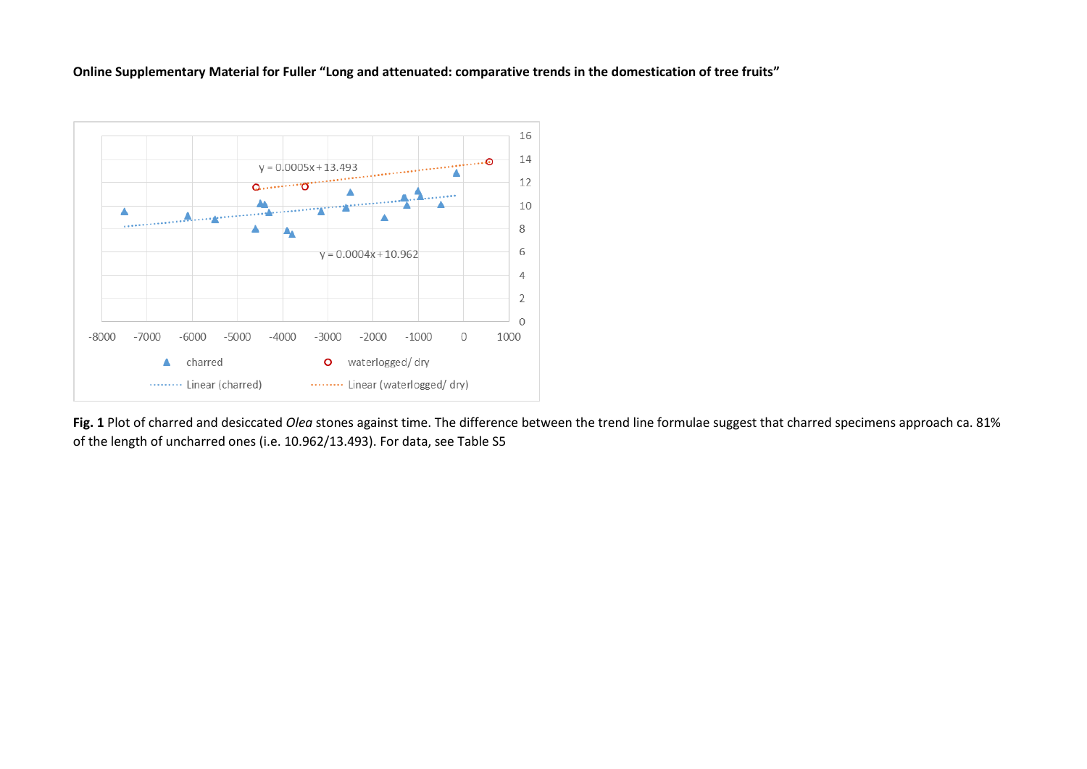**Online Supplementary Material for Fuller "Long and attenuated: comparative trends in the domestication of tree fruits"**



**Fig. 1** Plot of charred and desiccated *Olea* stones against time. The difference between the trend line formulae suggest that charred specimens approach ca. 81% of the length of uncharred ones (i.e. 10.962/13.493). For data, see Table S5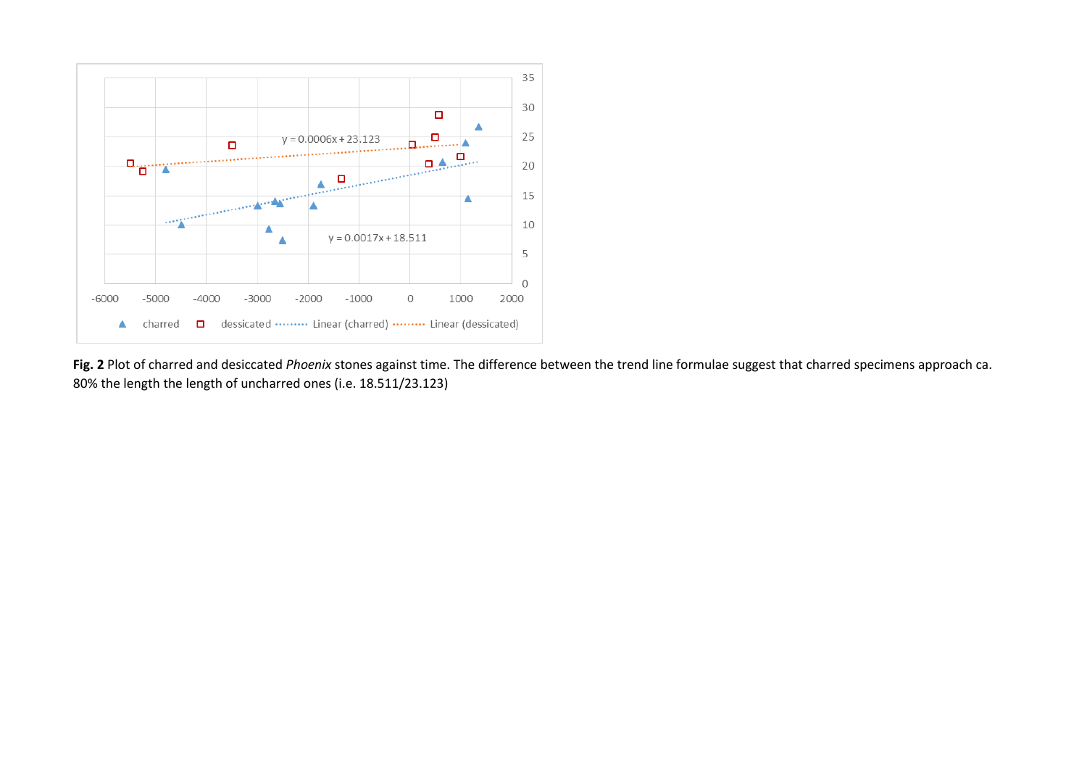

**Fig. 2** Plot of charred and desiccated *Phoenix* stones against time. The difference between the trend line formulae suggest that charred specimens approach ca. 80% the length the length of uncharred ones (i.e. 18.511/23.123)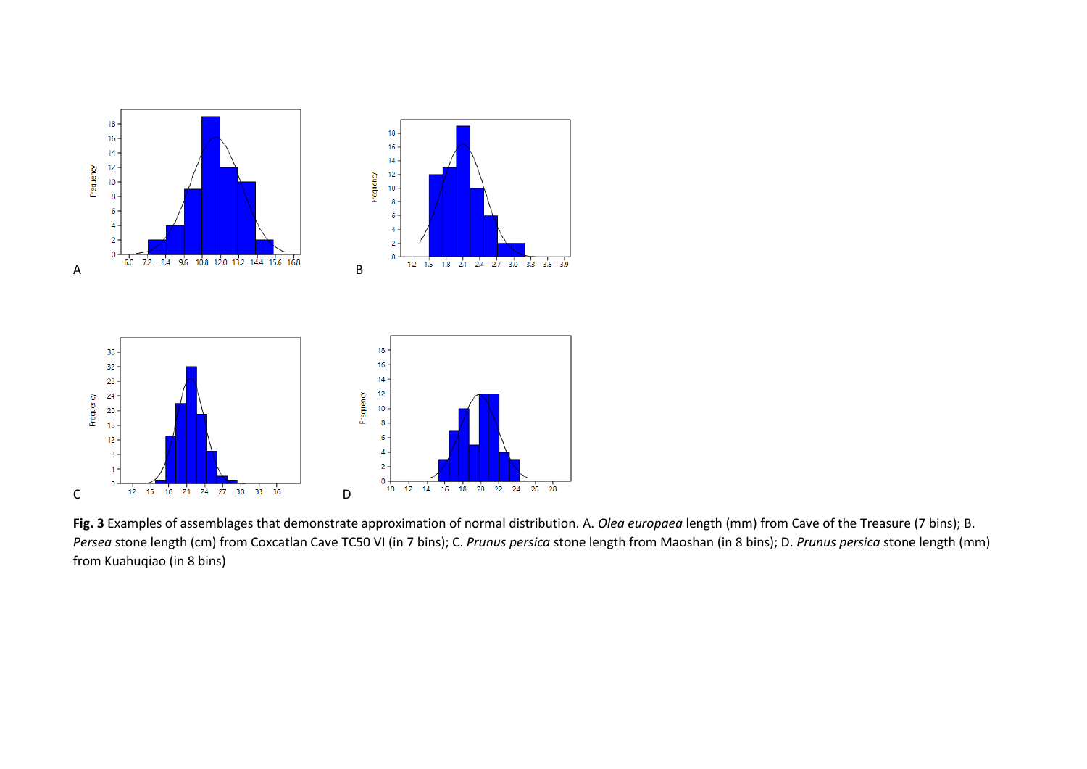

**Fig. 3** Examples of assemblages that demonstrate approximation of normal distribution. A. *Olea europaea* length (mm) from Cave of the Treasure (7 bins); B. *Persea* stone length (cm) from Coxcatlan Cave TC50 VI (in 7 bins); C. *Prunus persica* stone length from Maoshan (in 8 bins); D. *Prunus persica* stone length (mm) from Kuahuqiao (in 8 bins)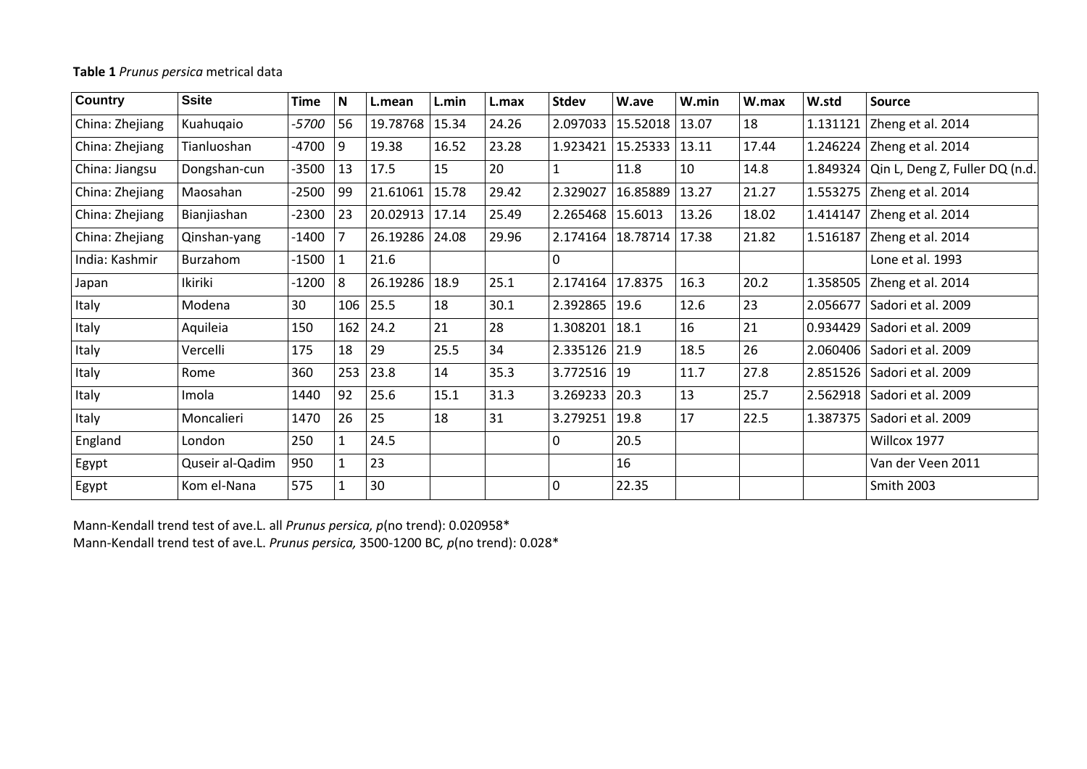## **Table 1** *Prunus persica* metrical data

| Country         | <b>Ssite</b>    | <b>Time</b> | N   | L.mean   | L.min | L.max | <b>Stdev</b>  | W.ave    | W.min | W.max | W.std    | Source                         |
|-----------------|-----------------|-------------|-----|----------|-------|-------|---------------|----------|-------|-------|----------|--------------------------------|
| China: Zhejiang | Kuahuqaio       | -5700       | 56  | 19.78768 | 15.34 | 24.26 | 2.097033      | 15.52018 | 13.07 | 18    | 1.131121 | Zheng et al. 2014              |
| China: Zhejiang | Tianluoshan     | $-4700$     | 9   | 19.38    | 16.52 | 23.28 | 1.923421      | 15.25333 | 13.11 | 17.44 |          | 1.246224 Zheng et al. 2014     |
| China: Jiangsu  | Dongshan-cun    | $-3500$     | 13  | 17.5     | 15    | 20    | 1             | 11.8     | 10    | 14.8  | 1.849324 | Qin L, Deng Z, Fuller DQ (n.d. |
| China: Zhejiang | Maosahan        | $-2500$     | 99  | 21.61061 | 15.78 | 29.42 | 2.329027      | 16.85889 | 13.27 | 21.27 |          | 1.553275 Zheng et al. 2014     |
| China: Zhejiang | Bianjiashan     | $-2300$     | 23  | 20.02913 | 17.14 | 25.49 | 2.265468      | 15.6013  | 13.26 | 18.02 |          | 1.414147 Zheng et al. 2014     |
| China: Zhejiang | Qinshan-yang    | $-1400$     |     | 26.19286 | 24.08 | 29.96 | 2.174164      | 18.78714 | 17.38 | 21.82 |          | 1.516187 Zheng et al. 2014     |
| India: Kashmir  | Burzahom        | $-1500$     | 1   | 21.6     |       |       | $\Omega$      |          |       |       |          | Lone et al. 1993               |
| Japan           | Ikiriki         | $-1200$     | 8   | 26.19286 | 18.9  | 25.1  | 2.174164      | 17.8375  | 16.3  | 20.2  | 1.358505 | Zheng et al. 2014              |
| Italy           | Modena          | 30          | 106 | 25.5     | 18    | 30.1  | 2.392865      | 19.6     | 12.6  | 23    | 2.056677 | Sadori et al. 2009             |
| Italy           | Aquileia        | 150         | 162 | 24.2     | 21    | 28    | 1.308201      | 18.1     | 16    | 21    | 0.934429 | Sadori et al. 2009             |
| Italy           | Vercelli        | 175         | 18  | 29       | 25.5  | 34    | 2.335126 21.9 |          | 18.5  | 26    | 2.060406 | Sadori et al. 2009             |
| Italy           | Rome            | 360         | 253 | 23.8     | 14    | 35.3  | $3.772516$ 19 |          | 11.7  | 27.8  | 2.851526 | Sadori et al. 2009             |
| Italy           | Imola           | 1440        | 92  | 25.6     | 15.1  | 31.3  | 3.269233 20.3 |          | 13    | 25.7  | 2.562918 | Sadori et al. 2009             |
| Italy           | Moncalieri      | 1470        | 26  | 25       | 18    | 31    | 3.279251      | 19.8     | 17    | 22.5  | 1.387375 | Sadori et al. 2009             |
| England         | London          | 250         | 1   | 24.5     |       |       | $\Omega$      | 20.5     |       |       |          | Willcox 1977                   |
| Egypt           | Quseir al-Qadim | 950         |     | 23       |       |       |               | 16       |       |       |          | Van der Veen 2011              |
| Egypt           | Kom el-Nana     | 575         |     | 30       |       |       | 0             | 22.35    |       |       |          | <b>Smith 2003</b>              |

Mann-Kendall trend test of ave.L. all *Prunus persica, p*(no trend): 0.020958\* Mann-Kendall trend test of ave.L. *Prunus persica,* 3500-1200 BC*, p*(no trend): 0.028\*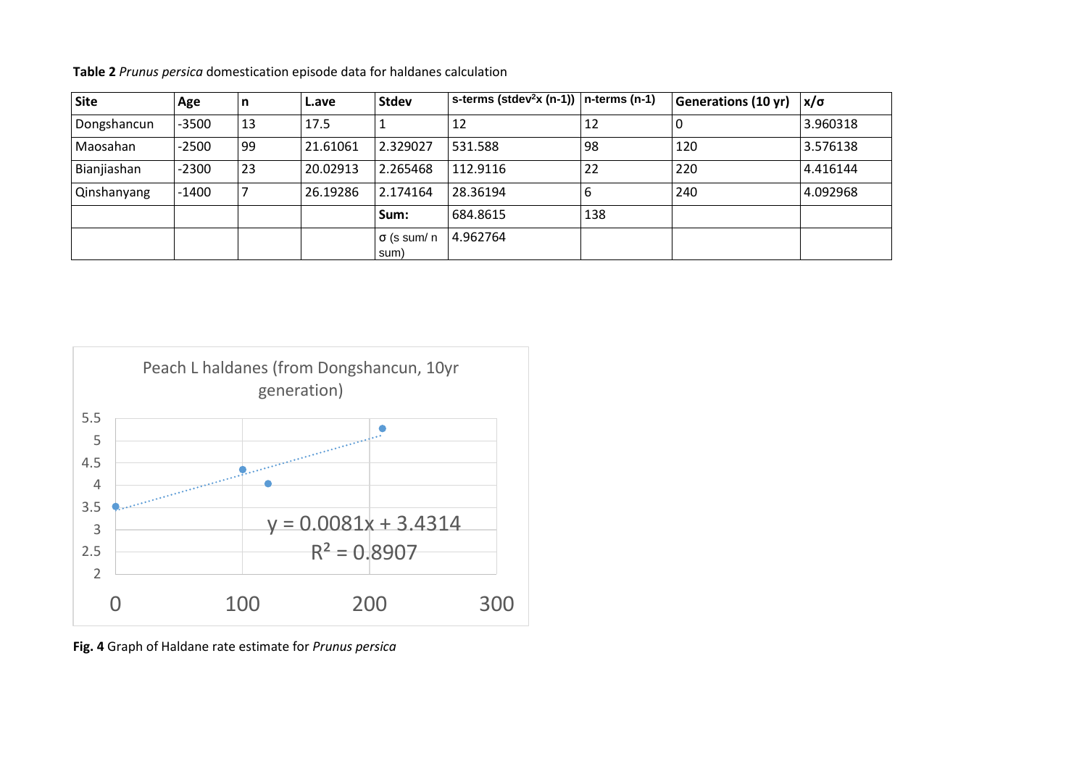| Site               | Age     | n  | L.ave    | <b>Stdev</b>               | $\vert$ s-terms (stdev <sup>2</sup> x (n-1)) $\vert$ n-terms (n-1) |     | Generations (10 yr) | $x/\sigma$ |
|--------------------|---------|----|----------|----------------------------|--------------------------------------------------------------------|-----|---------------------|------------|
| Dongshancun        | $-3500$ | 13 | 17.5     |                            | 12                                                                 | 12  |                     | 3.960318   |
| Maosahan           | $-2500$ | 99 | 21.61061 | 2.329027                   | 531.588                                                            | 98  | 120                 | 3.576138   |
| Bianjiashan        | $-2300$ | 23 | 20.02913 | 2.265468                   | 112.9116                                                           | 22  | 220                 | 4.416144   |
| <b>Qinshanyang</b> | $-1400$ | 7  | 26.19286 | 2.174164                   | 28.36194                                                           |     | 240                 | 4.092968   |
|                    |         |    |          | Sum:                       | 684.8615                                                           | 138 |                     |            |
|                    |         |    |          | $\sigma$ (s sum/ n<br>sum) | 4.962764                                                           |     |                     |            |

**Table 2** *Prunus persica* domestication episode data for haldanes calculation



**Fig. 4** Graph of Haldane rate estimate for *Prunus persica*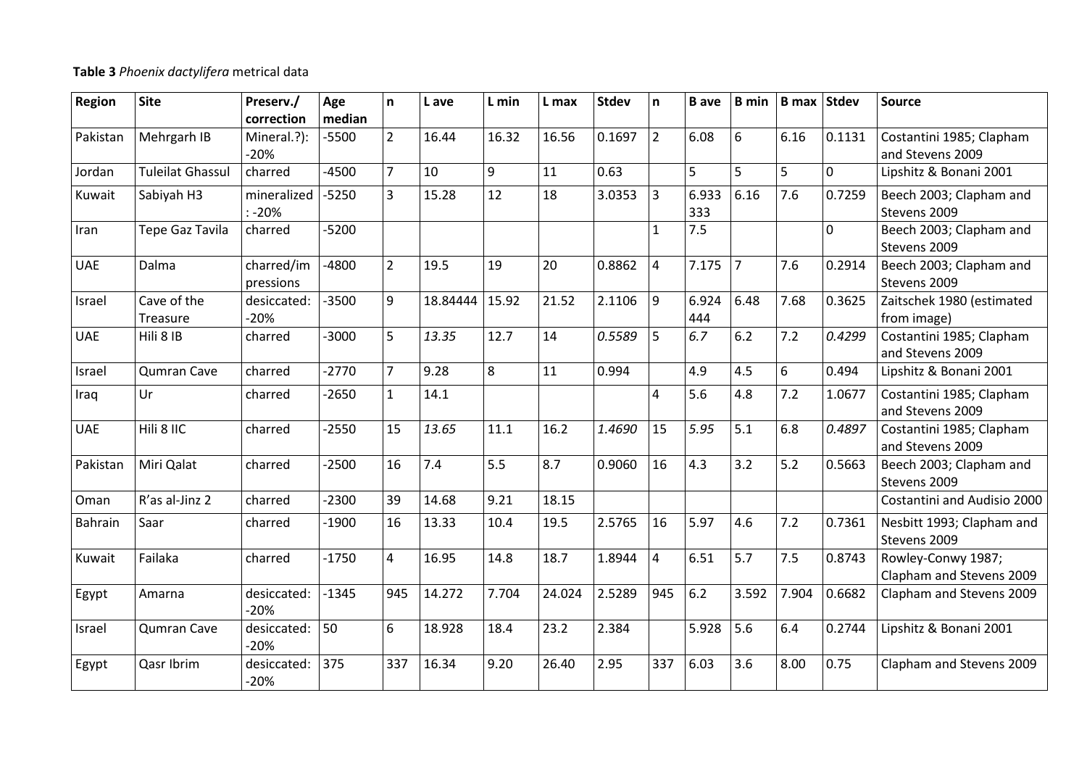## **Table 3** *Phoenix dactylifera* metrical data

| <b>Region</b> | <b>Site</b>             | Preserv./<br>correction | Age<br>median | n              | L ave    | L min          | L max  | <b>Stdev</b> | n.             | <b>B</b> ave | <b>B</b> min   | <b>B</b> max Stdev |        | <b>Source</b>                                  |
|---------------|-------------------------|-------------------------|---------------|----------------|----------|----------------|--------|--------------|----------------|--------------|----------------|--------------------|--------|------------------------------------------------|
| Pakistan      | Mehrgarh IB             | Mineral.?):<br>$-20%$   | $-5500$       | $\overline{2}$ | 16.44    | 16.32          | 16.56  | 0.1697       | $2^{\circ}$    | 6.08         | 6              | 6.16               | 0.1131 | Costantini 1985; Clapham<br>and Stevens 2009   |
| Jordan        | <b>Tuleilat Ghassul</b> | charred                 | $-4500$       | $\overline{7}$ | 10       | $\overline{9}$ | 11     | 0.63         |                | 5            | 5              | 5                  | 0      | Lipshitz & Bonani 2001                         |
| Kuwait        | Sabiyah H3              | mineralized<br>$: -20%$ | $-5250$       | $\overline{3}$ | 15.28    | 12             | 18     | 3.0353       | $\overline{3}$ | 6.933<br>333 | 6.16           | 7.6                | 0.7259 | Beech 2003; Clapham and<br>Stevens 2009        |
| Iran          | Tepe Gaz Tavila         | charred                 | $-5200$       |                |          |                |        |              | $\mathbf{1}$   | 7.5          |                |                    | 0      | Beech 2003; Clapham and<br>Stevens 2009        |
| <b>UAE</b>    | Dalma                   | charred/im<br>pressions | $-4800$       | $\overline{2}$ | 19.5     | 19             | 20     | 0.8862       | 4              | 7.175        | $\overline{7}$ | 7.6                | 0.2914 | Beech 2003; Clapham and<br>Stevens 2009        |
| Israel        | Cave of the<br>Treasure | desiccated:<br>$-20%$   | $-3500$       | 9              | 18.84444 | 15.92          | 21.52  | 2.1106       | 9              | 6.924<br>444 | 6.48           | 7.68               | 0.3625 | Zaitschek 1980 (estimated<br>from image)       |
| <b>UAE</b>    | Hili 8 IB               | charred                 | $-3000$       | 5              | 13.35    | 12.7           | 14     | 0.5589       | 5              | 6.7          | 6.2            | 7.2                | 0.4299 | Costantini 1985; Clapham<br>and Stevens 2009   |
| Israel        | Qumran Cave             | charred                 | $-2770$       | $\overline{7}$ | 9.28     | 8              | 11     | 0.994        |                | 4.9          | 4.5            | 6                  | 0.494  | Lipshitz & Bonani 2001                         |
| Iraq          | Ur                      | charred                 | $-2650$       | $\mathbf{1}$   | 14.1     |                |        |              | $\overline{4}$ | 5.6          | 4.8            | 7.2                | 1.0677 | Costantini 1985; Clapham<br>and Stevens 2009   |
| <b>UAE</b>    | Hili 8 IIC              | charred                 | $-2550$       | 15             | 13.65    | 11.1           | 16.2   | 1.4690       | 15             | 5.95         | 5.1            | 6.8                | 0.4897 | Costantini 1985; Clapham<br>and Stevens 2009   |
| Pakistan      | Miri Qalat              | charred                 | $-2500$       | 16             | 7.4      | 5.5            | 8.7    | 0.9060       | 16             | 4.3          | 3.2            | 5.2                | 0.5663 | Beech 2003; Clapham and<br>Stevens 2009        |
| Oman          | R'as al-Jinz 2          | charred                 | $-2300$       | 39             | 14.68    | 9.21           | 18.15  |              |                |              |                |                    |        | Costantini and Audisio 2000                    |
| Bahrain       | Saar                    | charred                 | $-1900$       | 16             | 13.33    | 10.4           | 19.5   | 2.5765       | 16             | 5.97         | 4.6            | 7.2                | 0.7361 | Nesbitt 1993; Clapham and<br>Stevens 2009      |
| Kuwait        | Failaka                 | charred                 | $-1750$       | $\overline{4}$ | 16.95    | 14.8           | 18.7   | 1.8944       | $\overline{4}$ | 6.51         | 5.7            | 7.5                | 0.8743 | Rowley-Conwy 1987;<br>Clapham and Stevens 2009 |
| Egypt         | Amarna                  | desiccated:<br>$-20%$   | $-1345$       | 945            | 14.272   | 7.704          | 24.024 | 2.5289       | 945            | 6.2          | 3.592          | 7.904              | 0.6682 | Clapham and Stevens 2009                       |
| Israel        | Qumran Cave             | desiccated:<br>$-20%$   | 50            | 6              | 18.928   | 18.4           | 23.2   | 2.384        |                | 5.928        | 5.6            | 6.4                | 0.2744 | Lipshitz & Bonani 2001                         |
| Egypt         | Qasr Ibrim              | desiccated:<br>$-20%$   | 375           | 337            | 16.34    | 9.20           | 26.40  | 2.95         | 337            | 6.03         | 3.6            | 8.00               | 0.75   | Clapham and Stevens 2009                       |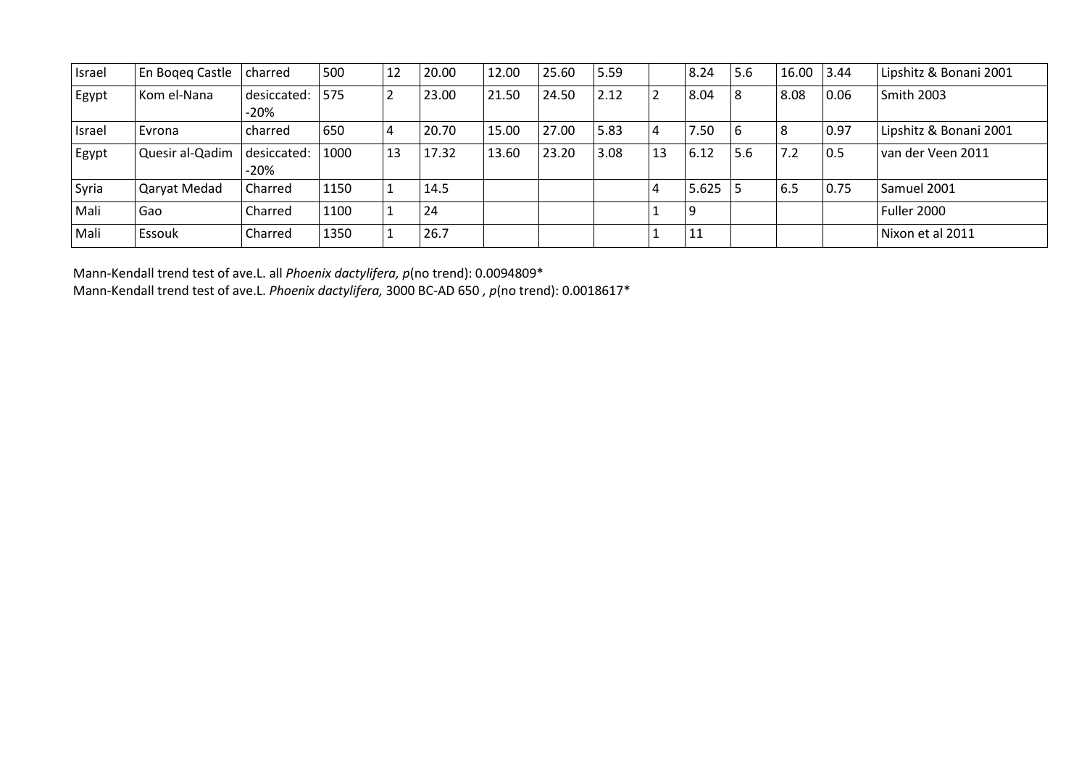| Israel | En Boqeq Castle | charred             | 500  | 12 | 20.00 | 12.00 | 25.60 | 5.59 |    | 8.24  | 5.6 | 16.00 3.44 |      | Lipshitz & Bonani 2001 |
|--------|-----------------|---------------------|------|----|-------|-------|-------|------|----|-------|-----|------------|------|------------------------|
| Egypt  | Kom el-Nana     | desiccated:<br>-20% | 1575 | ∠  | 23.00 | 21.50 | 24.50 | 2.12 |    | 8.04  | 8   | 8.08       | 0.06 | Smith 2003             |
| Israel | Evrona          | charred             | 650  | 4  | 20.70 | 15.00 | 27.00 | 5.83 | 4  | 7.50  | 6   | 18         | 0.97 | Lipshitz & Bonani 2001 |
| Egypt  | Quesir al-Qadim | desiccated:<br>-20% | 1000 | 13 | 17.32 | 13.60 | 23.20 | 3.08 | 13 | 6.12  | 5.6 | 7.2        | 0.5  | van der Veen 2011      |
| Syria  | Qaryat Medad    | Charred             | 1150 |    | 14.5  |       |       |      | 4  | 5.625 |     | 6.5        | 0.75 | Samuel 2001            |
| Mali   | Gao             | Charred             | 1100 |    | 24    |       |       |      |    | 9     |     |            |      | Fuller 2000            |
| Mali   | l Essouk        | Charred             | 1350 |    | 26.7  |       |       |      |    | 11    |     |            |      | Nixon et al 2011       |

Mann-Kendall trend test of ave.L. all *Phoenix dactylifera, p*(no trend): 0.0094809\* Mann-Kendall trend test of ave.L. *Phoenix dactylifera,* 3000 BC-AD 650 *, p*(no trend): 0.0018617\*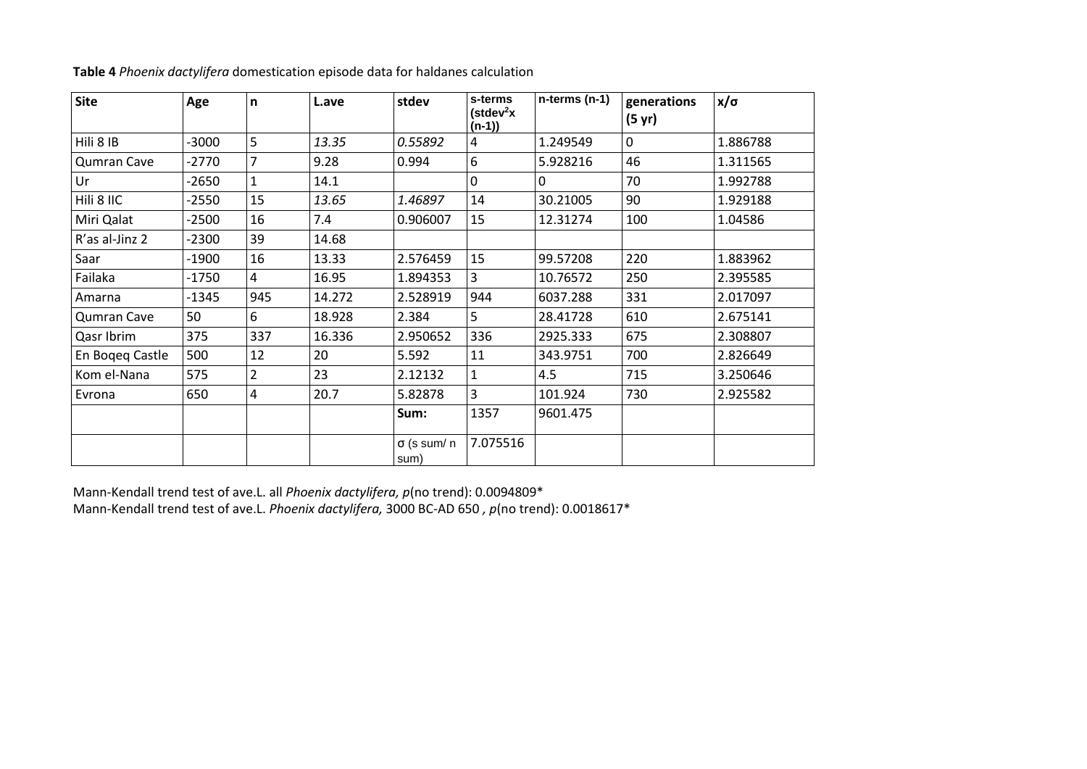| <b>Site</b>        | Age     | $\mathbf n$    | L.ave  | stdev                      | s-terms<br>(stdev <sup>2</sup> x<br>$(n-1)$ | $n$ -terms ( $n-1$ ) | generations<br>$(5 \text{ yr})$ | $x/\sigma$ |
|--------------------|---------|----------------|--------|----------------------------|---------------------------------------------|----------------------|---------------------------------|------------|
| Hili 8 IB          | $-3000$ | 5              | 13.35  | 0.55892                    | 4                                           | 1.249549             | $\mathbf 0$                     | 1.886788   |
| <b>Qumran Cave</b> | $-2770$ | $\overline{7}$ | 9.28   | 0.994                      | 6                                           | 5.928216             | 46                              | 1.311565   |
| Ur                 | $-2650$ | $\mathbf{1}$   | 14.1   |                            | $\mathbf 0$                                 | $\mathbf 0$          | 70                              | 1.992788   |
| Hili 8 IIC         | $-2550$ | 15             | 13.65  | 1.46897                    | 14                                          | 30.21005             | 90                              | 1.929188   |
| Miri Qalat         | -2500   | 16             | 7.4    | 0.906007                   | 15                                          | 12.31274             | 100                             | 1.04586    |
| R'as al-Jinz 2     | -2300   | 39             | 14.68  |                            |                                             |                      |                                 |            |
| Saar               | -1900   | 16             | 13.33  | 2.576459                   | 15                                          | 99.57208             | 220                             | 1.883962   |
| Failaka            | -1750   | $\overline{4}$ | 16.95  | 1.894353                   | 3                                           | 10.76572             | 250                             | 2.395585   |
| Amarna             | $-1345$ | 945            | 14.272 | 2.528919                   | 944                                         | 6037.288             | 331                             | 2.017097   |
| Qumran Cave        | 50      | 6              | 18.928 | 2.384                      | 5                                           | 28.41728             | 610                             | 2.675141   |
| Qasr Ibrim         | 375     | 337            | 16.336 | 2.950652                   | 336                                         | 2925.333             | 675                             | 2.308807   |
| En Bogeg Castle    | 500     | 12             | 20     | 5.592                      | 11                                          | 343.9751             | 700                             | 2.826649   |
| Kom el-Nana        | 575     | $\overline{2}$ | 23     | 2.12132                    | 1                                           | 4.5                  | 715                             | 3.250646   |
| Evrona             | 650     | $\overline{4}$ | 20.7   | 5.82878                    | $\overline{3}$                              | 101.924              | 730                             | 2.925582   |
|                    |         |                |        | Sum:                       | 1357                                        | 9601.475             |                                 |            |
|                    |         |                |        | $\sigma$ (s sum/ n<br>sum) | 7.075516                                    |                      |                                 |            |

**Table 4** *Phoenix dactylifera* domestication episode data for haldanes calculation

Mann-Kendall trend test of ave.L. all *Phoenix dactylifera, p*(no trend): 0.0094809\* Mann-Kendall trend test of ave.L. *Phoenix dactylifera,* 3000 BC-AD 650 *, p*(no trend): 0.0018617\*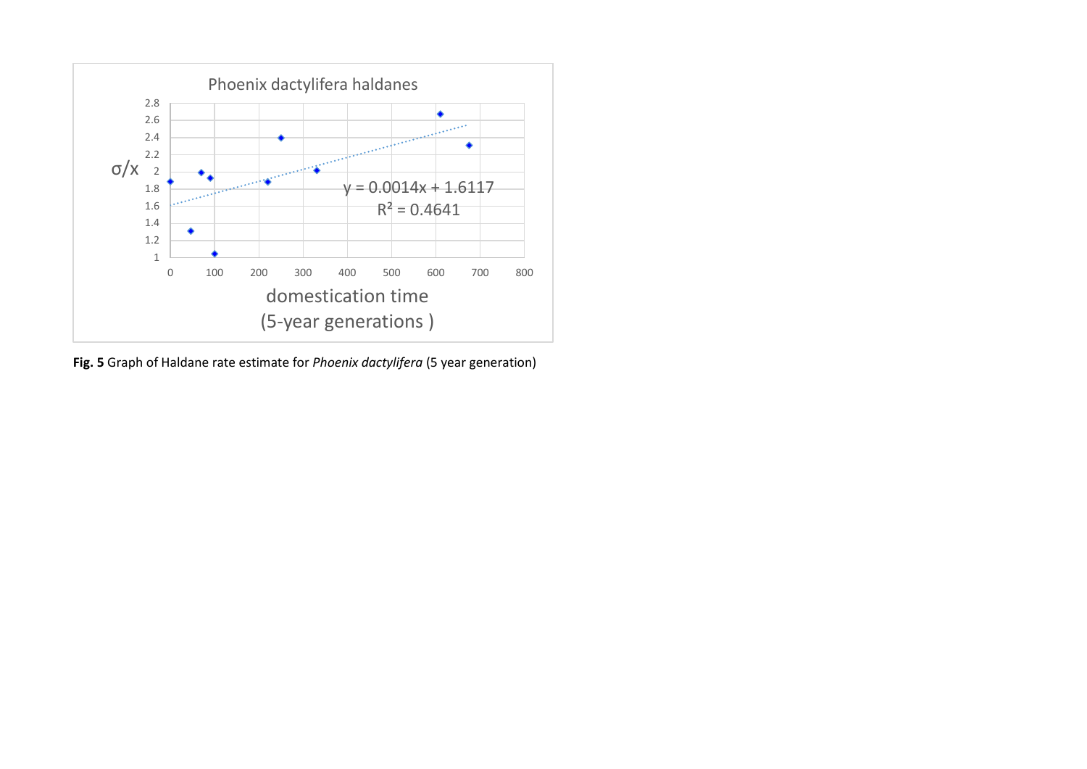

**Fig. 5** Graph of Haldane rate estimate for *Phoenix dactylifera* (5 year generation)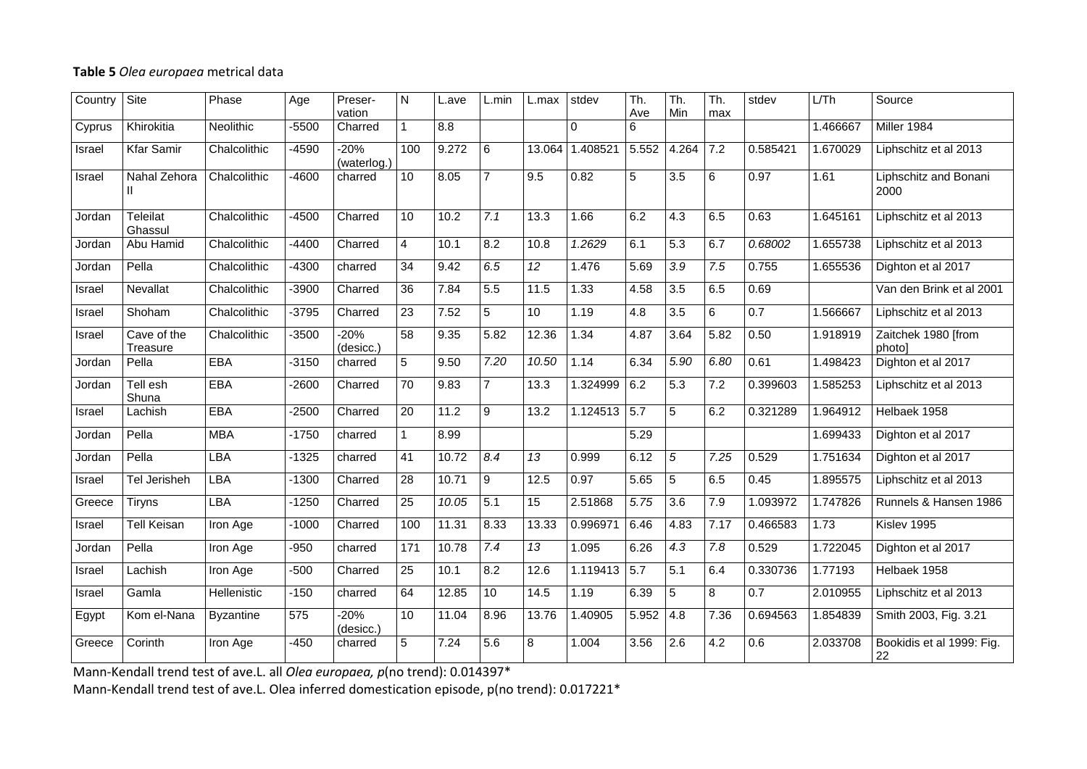## **Table 5** *Olea europaea* metrical data

| Country | Site                       | Phase            | Age     | Preser-<br>vation     | $\mathsf{N}$    | L.ave | L.min          | L.max           | stdev          | Th.<br>Ave | Th.<br>Min       | $\overline{\mathsf{Th}}$ .<br>max | stdev    | LTh      | Source                          |
|---------|----------------------------|------------------|---------|-----------------------|-----------------|-------|----------------|-----------------|----------------|------------|------------------|-----------------------------------|----------|----------|---------------------------------|
| Cyprus  | Khirokitia                 | <b>Neolithic</b> | -5500   | Charred               | $\mathbf{1}$    | 8.8   |                |                 | $\Omega$       | 6          |                  |                                   |          | 1.466667 | Miller 1984                     |
| Israel  | <b>Kfar Samir</b>          | Chalcolithic     | -4590   | $-20%$<br>(waterlog.) | 100             | 9.272 | 6              | 13.064          | 1.408521       | 5.552      | 4.264            | 7.2                               | 0.585421 | 1.670029 | Liphschitz et al 2013           |
| Israel  | Nahal Zehora               | Chalcolithic     | $-4600$ | charred               | 10              | 8.05  | 7              | 9.5             | 0.82           | 5          | $\overline{3.5}$ | 6                                 | 0.97     | 1.61     | Liphschitz and Bonani<br>2000   |
| Jordan  | <b>Teleilat</b><br>Ghassul | Chalcolithic     | $-4500$ | Charred               | 10              | 10.2  | 7.1            | 13.3            | 1.66           | 6.2        | 4.3              | 6.5                               | 0.63     | 1.645161 | Liphschitz et al 2013           |
| Jordan  | Abu Hamid                  | Chalcolithic     | -4400   | Charred               | $\overline{4}$  | 10.1  | 8.2            | 10.8            | 1.2629         | 6.1        | 5.3              | 6.7                               | 0.68002  | 1.655738 | Liphschitz et al 2013           |
| Jordan  | Pella                      | Chalcolithic     | -4300   | charred               | 34              | 9.42  | 6.5            | $\overline{12}$ | 1.476          | 5.69       | $\overline{3.9}$ | 7.5                               | 0.755    | 1.655536 | Dighton et al 2017              |
| Israel  | Nevallat                   | Chalcolithic     | -3900   | Charred               | 36              | 7.84  | 5.5            | 11.5            | 1.33           | 4.58       | 3.5              | 6.5                               | 0.69     |          | Van den Brink et al 2001        |
| Israel  | Shoham                     | Chalcolithic     | -3795   | Charred               | $\overline{23}$ | 7.52  | $\overline{5}$ | 10              | 1.19           | 4.8        | $\overline{3.5}$ | 6                                 | 0.7      | 1.566667 | Liphschitz et al 2013           |
| Israel  | Cave of the<br>Treasure    | Chalcolithic     | -3500   | $-20%$<br>(desicc.)   | 58              | 9.35  | 5.82           | 12.36           | 1.34           | 4.87       | 3.64             | 5.82                              | 0.50     | 1.918919 | Zaitchek 1980 [from<br>photo]   |
| Jordan  | Pella                      | <b>EBA</b>       | $-3150$ | charred               | 5               | 9.50  | 7.20           | 10.50           | 1.14           | 6.34       | 5.90             | 6.80                              | 0.61     | 1.498423 | Dighton et al 2017              |
| Jordan  | Tell esh<br>Shuna          | <b>EBA</b>       | $-2600$ | Charred               | $\overline{70}$ | 9.83  | $\overline{7}$ | 13.3            | 1.324999       | 6.2        | 5.3              | 7.2                               | 0.399603 | 1.585253 | Liphschitz et al 2013           |
| Israel  | Lachish                    | EBA              | $-2500$ | Charred               | $\overline{20}$ | 11.2  | 9              | 13.2            | $1.124513$ 5.7 |            | 5                | 6.2                               | 0.321289 | 1.964912 | Helbaek 1958                    |
| Jordan  | Pella                      | <b>MBA</b>       | $-1750$ | charred               | $\mathbf{1}$    | 8.99  |                |                 |                | 5.29       |                  |                                   |          | 1.699433 | Dighton et al 2017              |
| Jordan  | Pella                      | <b>LBA</b>       | $-1325$ | charred               | $\overline{41}$ | 10.72 | 8.4            | 13              | 0.999          | 6.12       | $\overline{5}$   | 7.25                              | 0.529    | 1.751634 | Dighton et al 2017              |
| Israel  | Tel Jerisheh               | LBA              | $-1300$ | Charred               | 28              | 10.71 | $\mathsf g$    | 12.5            | 0.97           | 5.65       | 5                | 6.5                               | 0.45     | 1.895575 | Liphschitz et al 2013           |
| Greece  | Tiryns                     | <b>LBA</b>       | $-1250$ | Charred               | $\overline{25}$ | 10.05 | 5.1            | 15              | 2.51868        | 5.75       | $\overline{3.6}$ | 7.9                               | 1.093972 | 1.747826 | Runnels & Hansen 1986           |
| Israel  | <b>Tell Keisan</b>         | Iron Age         | $-1000$ | Charred               | 100             | 11.31 | 8.33           | 13.33           | 0.996971       | 6.46       | 4.83             | 7.17                              | 0.466583 | 1.73     | Kislev 1995                     |
| Jordan  | Pella                      | Iron Age         | $-950$  | charred               | 171             | 10.78 | 7.4            | 13              | 1.095          | 6.26       | $\overline{4.3}$ | $\overline{7.8}$                  | 0.529    | 1.722045 | Dighton et al 2017              |
| Israel  | Lachish                    | Iron Age         | $-500$  | Charred               | 25              | 10.1  | 8.2            | 12.6            | 1.119413 5.7   |            | 5.1              | 6.4                               | 0.330736 | 1.77193  | Helbaek 1958                    |
| Israel  | Gamla                      | Hellenistic      | $-150$  | charred               | 64              | 12.85 | 10             | 14.5            | 1.19           | 6.39       | $\overline{5}$   | $\overline{8}$                    | 0.7      | 2.010955 | Liphschitz et al 2013           |
| Egypt   | Kom el-Nana                | <b>Byzantine</b> | 575     | $-20%$<br>(desicc.)   | 10              | 11.04 | 8.96           | 13.76           | 1.40905        | 5.952      | 4.8              | 7.36                              | 0.694563 | 1.854839 | Smith 2003, Fig. 3.21           |
| Greece  | Corinth                    | Iron Age         | $-450$  | charred               | $\overline{5}$  | 7.24  | 5.6            | $\overline{8}$  | 1.004          | 3.56       | 2.6              | 4.2                               | 0.6      | 2.033708 | Bookidis et al 1999: Fig.<br>22 |

Mann-Kendall trend test of ave.L. all *Olea europaea, p*(no trend): 0.014397\*

Mann-Kendall trend test of ave.L. Olea inferred domestication episode, p(no trend): 0.017221\*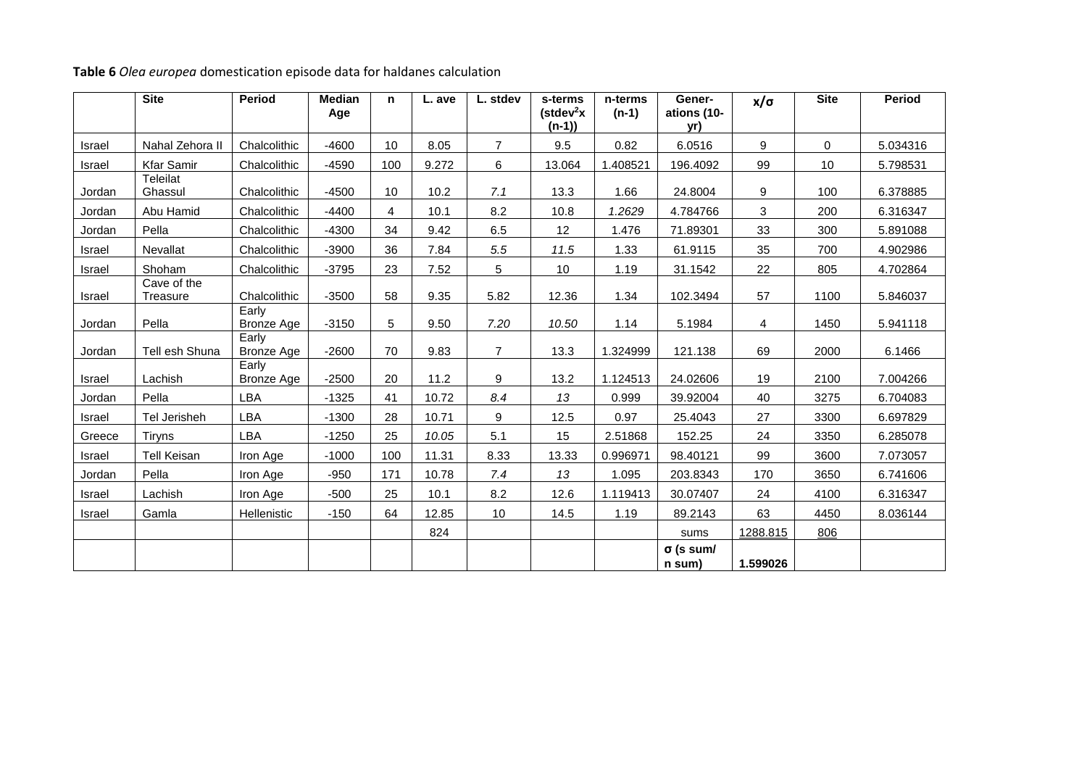|        | <b>Site</b>             | <b>Period</b>              | <b>Median</b><br>Age | n   | L. ave | L. stdev       | s-terms<br>$(\text{stdev}^2x)$<br>$(n-1)$ | n-terms<br>$(n-1)$ | Gener-<br>ations (10-<br>yr) | $x/\sigma$ | <b>Site</b> | <b>Period</b> |
|--------|-------------------------|----------------------------|----------------------|-----|--------|----------------|-------------------------------------------|--------------------|------------------------------|------------|-------------|---------------|
| Israel | Nahal Zehora II         | Chalcolithic               | $-4600$              | 10  | 8.05   | $\overline{7}$ | 9.5                                       | 0.82               | 6.0516                       | 9          | $\Omega$    | 5.034316      |
| Israel | <b>Kfar Samir</b>       | Chalcolithic               | $-4590$              | 100 | 9.272  | 6              | 13.064                                    | 1.408521           | 196.4092                     | 99         | 10          | 5.798531      |
| Jordan | Teleilat<br>Ghassul     | Chalcolithic               | $-4500$              | 10  | 10.2   | 7.1            | 13.3                                      | 1.66               | 24.8004                      | 9          | 100         | 6.378885      |
| Jordan | Abu Hamid               | Chalcolithic               | $-4400$              | 4   | 10.1   | 8.2            | 10.8                                      | 1.2629             | 4.784766                     | 3          | 200         | 6.316347      |
| Jordan | Pella                   | Chalcolithic               | $-4300$              | 34  | 9.42   | 6.5            | 12                                        | 1.476              | 71.89301                     | 33         | 300         | 5.891088      |
| Israel | Nevallat                | Chalcolithic               | $-3900$              | 36  | 7.84   | 5.5            | 11.5                                      | 1.33               | 61.9115                      | 35         | 700         | 4.902986      |
| Israel | Shoham                  | Chalcolithic               | $-3795$              | 23  | 7.52   | 5              | 10                                        | 1.19               | 31.1542                      | 22         | 805         | 4.702864      |
| Israel | Cave of the<br>Treasure | Chalcolithic               | $-3500$              | 58  | 9.35   | 5.82           | 12.36                                     | 1.34               | 102.3494                     | 57         | 1100        | 5.846037      |
| Jordan | Pella                   | Early<br><b>Bronze Age</b> | $-3150$              | 5   | 9.50   | 7.20           | 10.50                                     | 1.14               | 5.1984                       | 4          | 1450        | 5.941118      |
| Jordan | Tell esh Shuna          | Early<br><b>Bronze Age</b> | $-2600$              | 70  | 9.83   | $\overline{7}$ | 13.3                                      | 1.324999           | 121.138                      | 69         | 2000        | 6.1466        |
| Israel | Lachish                 | Early<br><b>Bronze Age</b> | $-2500$              | 20  | 11.2   | 9              | 13.2                                      | 1.124513           | 24.02606                     | 19         | 2100        | 7.004266      |
| Jordan | Pella                   | LBA                        | $-1325$              | 41  | 10.72  | 8.4            | 13                                        | 0.999              | 39.92004                     | 40         | 3275        | 6.704083      |
| Israel | Tel Jerisheh            | LBA                        | $-1300$              | 28  | 10.71  | 9              | 12.5                                      | 0.97               | 25.4043                      | 27         | 3300        | 6.697829      |
| Greece | Tiryns                  | LBA                        | $-1250$              | 25  | 10.05  | 5.1            | 15                                        | 2.51868            | 152.25                       | 24         | 3350        | 6.285078      |
| Israel | <b>Tell Keisan</b>      | Iron Age                   | $-1000$              | 100 | 11.31  | 8.33           | 13.33                                     | 0.996971           | 98.40121                     | 99         | 3600        | 7.073057      |
| Jordan | Pella                   | Iron Age                   | $-950$               | 171 | 10.78  | 7.4            | 13                                        | 1.095              | 203.8343                     | 170        | 3650        | 6.741606      |
| Israel | Lachish                 | Iron Age                   | $-500$               | 25  | 10.1   | 8.2            | 12.6                                      | 1.119413           | 30.07407                     | 24         | 4100        | 6.316347      |
| Israel | Gamla                   | Hellenistic                | $-150$               | 64  | 12.85  | 10             | 14.5                                      | 1.19               | 89.2143                      | 63         | 4450        | 8.036144      |
|        |                         |                            |                      |     | 824    |                |                                           |                    | sums                         | 1288.815   | 806         |               |
|        |                         |                            |                      |     |        |                |                                           |                    | $\sigma$ (s sum/<br>n sum)   | 1.599026   |             |               |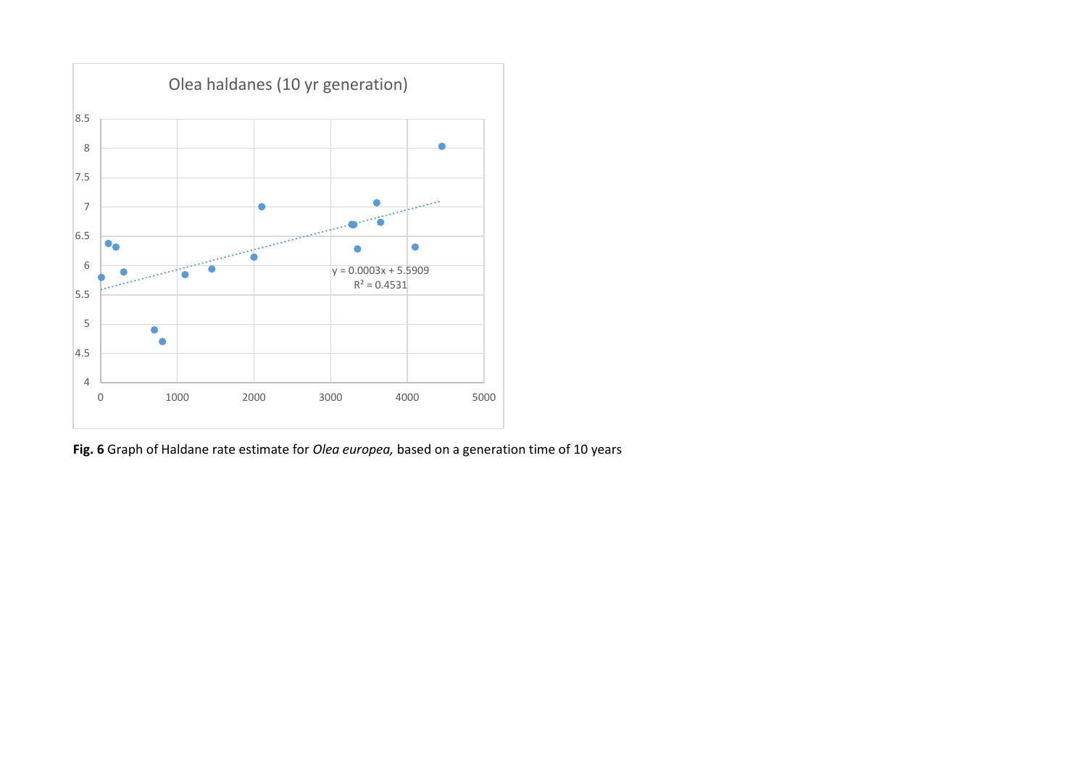

**Fig. 6** Graph of Haldane rate estimate for *Olea europea,* based on a generation time of 10 years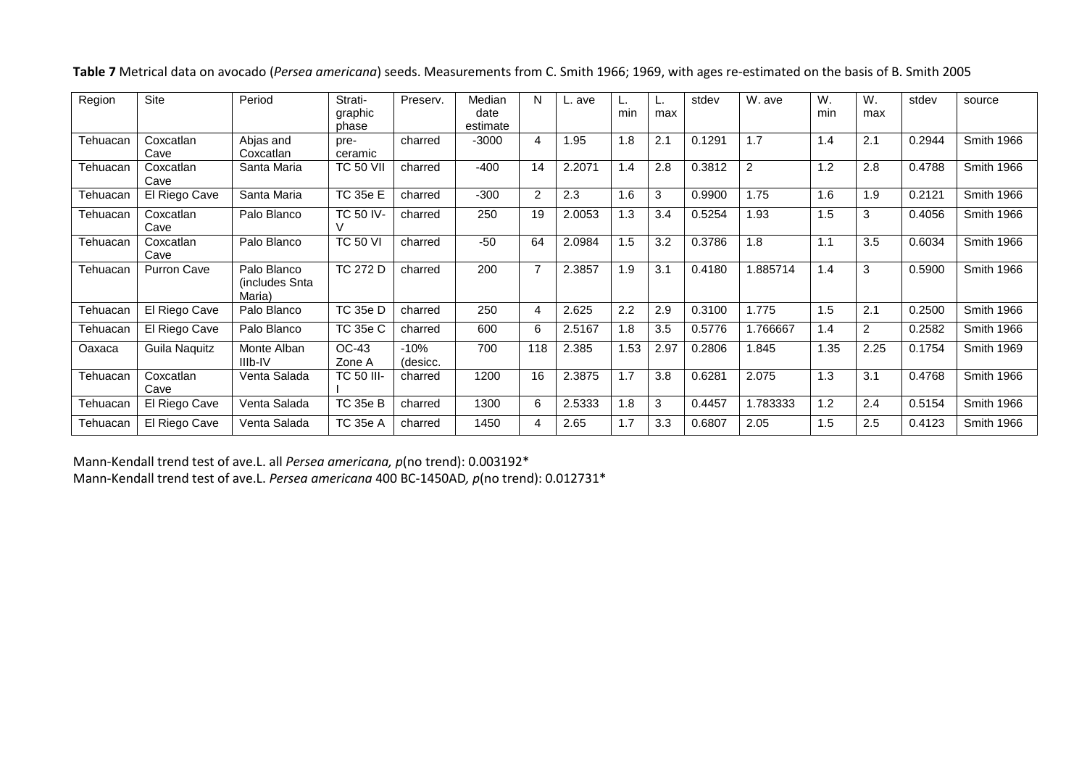| Table 7 Metrical data on avocado (Persea americana) seeds. Measurements from C. Smith 1966; 1969, with ages re-estimated on the basis of B. Smith 2005 |  |
|--------------------------------------------------------------------------------------------------------------------------------------------------------|--|
|--------------------------------------------------------------------------------------------------------------------------------------------------------|--|

| Region   | <b>Site</b>        | Period                                  | Strati-<br>graphic<br>phase | Preserv.           | Median<br>date<br>estimate | N              | L. ave | min  | L.<br>max | stdev  | W. ave   | W.<br>min | W.<br>max      | stdev  | source            |
|----------|--------------------|-----------------------------------------|-----------------------------|--------------------|----------------------------|----------------|--------|------|-----------|--------|----------|-----------|----------------|--------|-------------------|
| Tehuacan | Coxcatlan<br>Cave  | Abjas and<br>Coxcatlan                  | pre-<br>ceramic             | charred            | $-3000$                    | 4              | .95    | 1.8  | 2.1       | 0.1291 | 1.7      | 1.4       | 2.1            | 0.2944 | <b>Smith 1966</b> |
| Tehuacan | Coxcatlan<br>Cave  | Santa Maria                             | <b>TC 50 VII</b>            | charred            | $-400$                     | 14             | 2.2071 | 1.4  | 2.8       | 0.3812 | 2        | 1.2       | 2.8            | 0.4788 | Smith 1966        |
| Tehuacan | El Riego Cave      | Santa Maria                             | TC 35e E                    | charred            | $-300$                     | $\overline{2}$ | 2.3    | 1.6  | 3         | 0.9900 | 1.75     | 1.6       | 1.9            | 0.2121 | Smith 1966        |
| Tehuacan | Coxcatlan<br>Cave  | Palo Blanco                             | <b>TC 50 IV-</b>            | charred            | 250                        | 19             | 2.0053 | 1.3  | 3.4       | 0.5254 | 1.93     | 1.5       | 3              | 0.4056 | Smith 1966        |
| Tehuacan | Coxcatlan<br>Cave  | Palo Blanco                             | <b>TC 50 VI</b>             | charred            | $-50$                      | 64             | 2.0984 | 1.5  | 3.2       | 0.3786 | 1.8      | 1.1       | 3.5            | 0.6034 | Smith 1966        |
| Tehuacan | <b>Purron Cave</b> | Palo Blanco<br>(includes Snta<br>Maria) | <b>TC 272 D</b>             | charred            | 200                        | $\overline{7}$ | 2.3857 | 1.9  | 3.1       | 0.4180 | 1.885714 | 1.4       | 3              | 0.5900 | <b>Smith 1966</b> |
| Tehuacan | El Riego Cave      | Palo Blanco                             | TC 35e D                    | charred            | 250                        | $\overline{4}$ | 2.625  | 2.2  | 2.9       | 0.3100 | 1.775    | 1.5       | 2.1            | 0.2500 | <b>Smith 1966</b> |
| Tehuacan | El Riego Cave      | Palo Blanco                             | <b>TC 35e C</b>             | charred            | 600                        | 6              | 2.5167 | 1.8  | 3.5       | 0.5776 | 1.766667 | 1.4       | $\overline{c}$ | 0.2582 | Smith 1966        |
| Oaxaca   | Guila Naquitz      | Monte Alban<br>IIIb-IV                  | OC-43<br>Zone A             | $-10%$<br>(desicc. | 700                        | 118            | 2.385  | 1.53 | 2.97      | 0.2806 | 1.845    | 1.35      | 2.25           | 0.1754 | Smith 1969        |
| Tehuacan | Coxcatlan<br>Cave  | Venta Salada                            | <b>TC 50 III-</b>           | charred            | 1200                       | 16             | 2.3875 | 1.7  | 3.8       | 0.6281 | 2.075    | 1.3       | 3.1            | 0.4768 | <b>Smith 1966</b> |
| Tehuacan | El Riego Cave      | Venta Salada                            | TC 35e B                    | charred            | 1300                       | 6              | 2.5333 | 1.8  | 3         | 0.4457 | 1.783333 | 1.2       | 2.4            | 0.5154 | <b>Smith 1966</b> |
| Tehuacan | El Riego Cave      | Venta Salada                            | TC 35e A                    | charred            | 1450                       | 4              | 2.65   | 1.7  | 3.3       | 0.6807 | 2.05     | 1.5       | 2.5            | 0.4123 | Smith 1966        |

Mann-Kendall trend test of ave.L. all *Persea americana, p*(no trend): 0.003192\* Mann-Kendall trend test of ave.L. *Persea americana* 400 BC-1450AD*, p*(no trend): 0.012731\*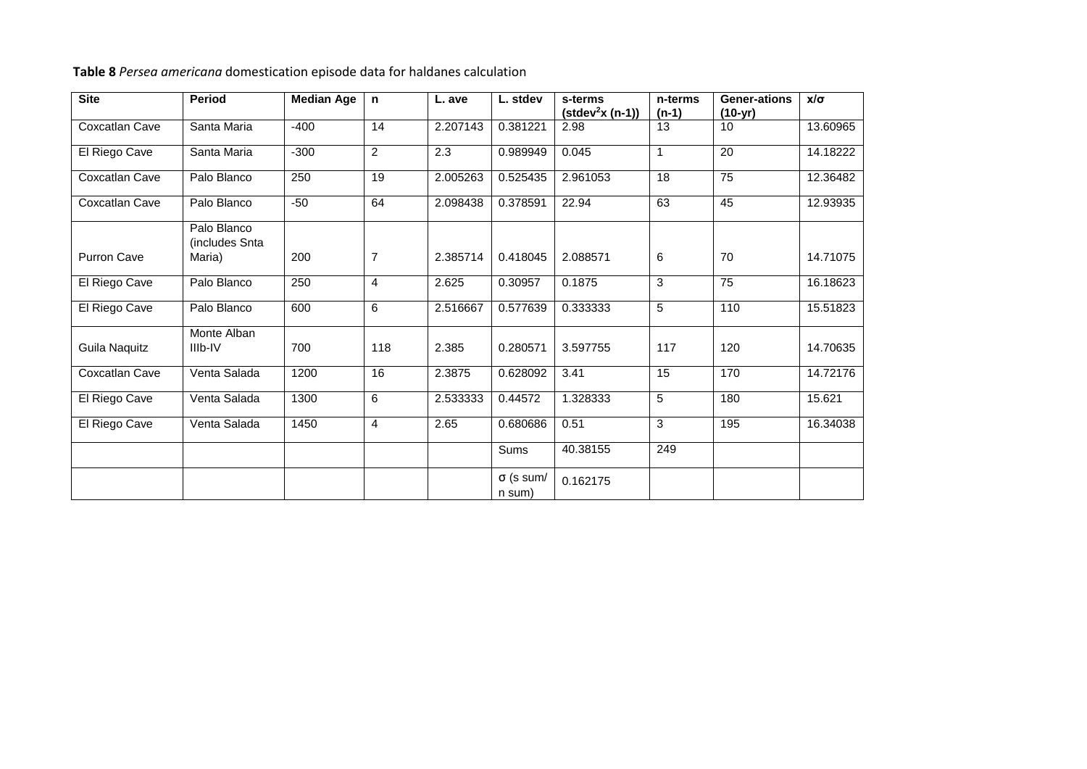**Table 8** *Persea americana* domestication episode data for haldanes calculation

| <b>Site</b>        | <b>Period</b>                           | <b>Median Age</b> | $\mathsf{n}$   | L. ave   | L. stdev                   | s-terms<br>$(statev2x (n-1))$ | n-terms<br>$(n-1)$ | <b>Gener-ations</b><br>$(10-yr)$ | $x/\sigma$ |
|--------------------|-----------------------------------------|-------------------|----------------|----------|----------------------------|-------------------------------|--------------------|----------------------------------|------------|
| Coxcatlan Cave     | Santa Maria                             | $-400$            | 14             | 2.207143 | 0.381221                   | 2.98                          | 13                 | 10                               | 13.60965   |
| El Riego Cave      | Santa Maria                             | $-300$            | $\overline{2}$ | 2.3      | 0.989949                   | 0.045                         | 1                  | $\overline{20}$                  | 14.18222   |
| Coxcatlan Cave     | Palo Blanco                             | 250               | 19             | 2.005263 | 0.525435                   | 2.961053                      | 18                 | 75                               | 12.36482   |
| Coxcatlan Cave     | Palo Blanco                             | $-50$             | 64             | 2.098438 | 0.378591                   | 22.94                         | 63                 | 45                               | 12.93935   |
| <b>Purron Cave</b> | Palo Blanco<br>(includes Snta<br>Maria) | 200               | $\overline{7}$ | 2.385714 | 0.418045                   | 2.088571                      | 6                  | 70                               | 14.71075   |
| El Riego Cave      | Palo Blanco                             | 250               | $\overline{4}$ | 2.625    | 0.30957                    | 0.1875                        | 3                  | 75                               | 16.18623   |
| El Riego Cave      | Palo Blanco                             | 600               | 6              | 2.516667 | 0.577639                   | 0.333333                      | 5                  | 110                              | 15.51823   |
| Guila Naquitz      | Monte Alban<br>IIIb-IV                  | 700               | 118            | 2.385    | 0.280571                   | 3.597755                      | 117                | 120                              | 14.70635   |
| Coxcatlan Cave     | Venta Salada                            | 1200              | 16             | 2.3875   | 0.628092                   | 3.41                          | $\overline{15}$    | 170                              | 14.72176   |
| El Riego Cave      | Venta Salada                            | 1300              | 6              | 2.533333 | 0.44572                    | 1.328333                      | 5                  | 180                              | 15.621     |
| El Riego Cave      | Venta Salada                            | 1450              | $\overline{4}$ | 2.65     | 0.680686                   | 0.51                          | 3                  | 195                              | 16.34038   |
|                    |                                         |                   |                |          | Sums                       | 40.38155                      | 249                |                                  |            |
|                    |                                         |                   |                |          | $\sigma$ (s sum/<br>n sum) | 0.162175                      |                    |                                  |            |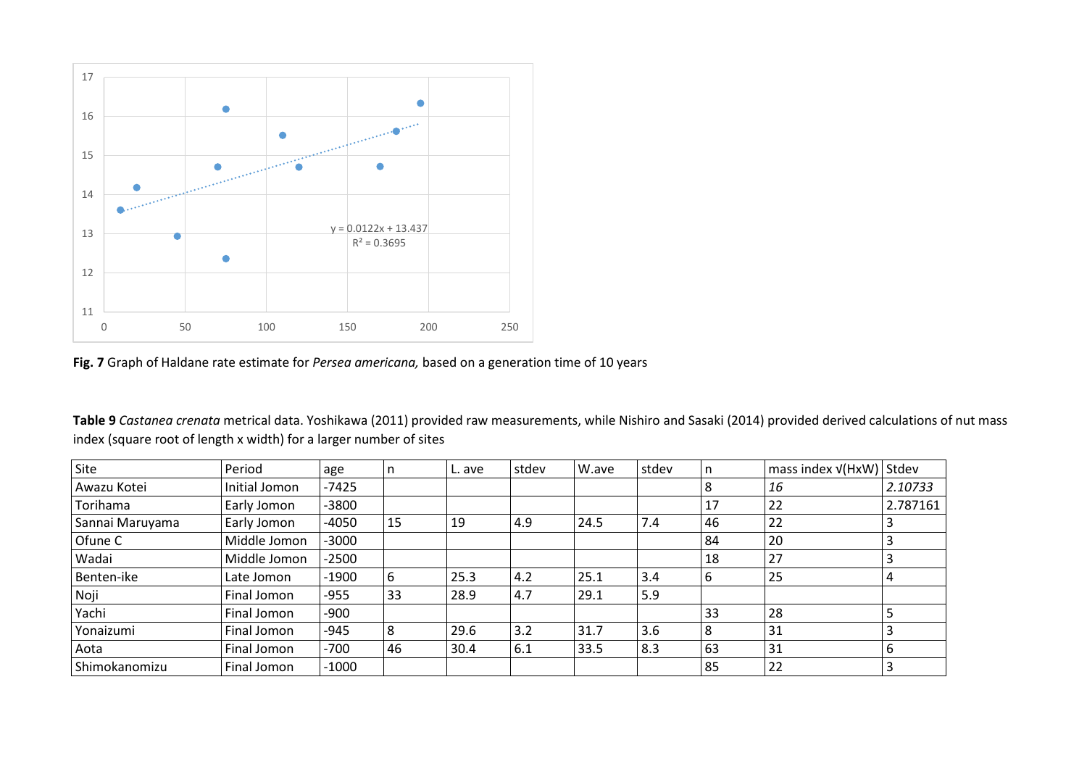

**Fig. 7** Graph of Haldane rate estimate for *Persea americana,* based on a generation time of 10 years

**Table 9** *Castanea crenata* metrical data. Yoshikawa (2011) provided raw measurements, while Nishiro and Sasaki (2014) provided derived calculations of nut mass index (square root of length x width) for a larger number of sites

| Site            | Period        | age     |    | L. ave | stdev | W.ave | stdev | n  | mass index $v(HxW)$ Stdev |          |
|-----------------|---------------|---------|----|--------|-------|-------|-------|----|---------------------------|----------|
| Awazu Kotei     | Initial Jomon | $-7425$ |    |        |       |       |       |    | 16                        | 2.10733  |
| Torihama        | Early Jomon   | $-3800$ |    |        |       |       |       | 17 | 22                        | 2.787161 |
| Sannai Maruyama | Early Jomon   | $-4050$ | 15 | 19     | 4.9   | 24.5  | 7.4   | 46 | 22                        | 3        |
| Ofune C         | Middle Jomon  | $-3000$ |    |        |       |       |       | 84 | 20                        | 3        |
| Wadai           | Middle Jomon  | $-2500$ |    |        |       |       |       | 18 | 27                        |          |
| Benten-ike      | Late Jomon    | $-1900$ | 6  | 25.3   | 4.2   | 25.1  | 3.4   | -6 | 25                        | 4        |
| Noji            | Final Jomon   | -955    | 33 | 28.9   | 4.7   | 29.1  | 5.9   |    |                           |          |
| Yachi           | Final Jomon   | -900    |    |        |       |       |       | 33 | 28                        |          |
| Yonaizumi       | Final Jomon   | $-945$  | 8  | 29.6   | 3.2   | 31.7  | 3.6   |    | 31                        |          |
| Aota            | Final Jomon   | $-700$  | 46 | 30.4   | 6.1   | 33.5  | 8.3   | 63 | 31                        | 6        |
| Shimokanomizu   | Final Jomon   | $-1000$ |    |        |       |       |       | 85 | 22                        |          |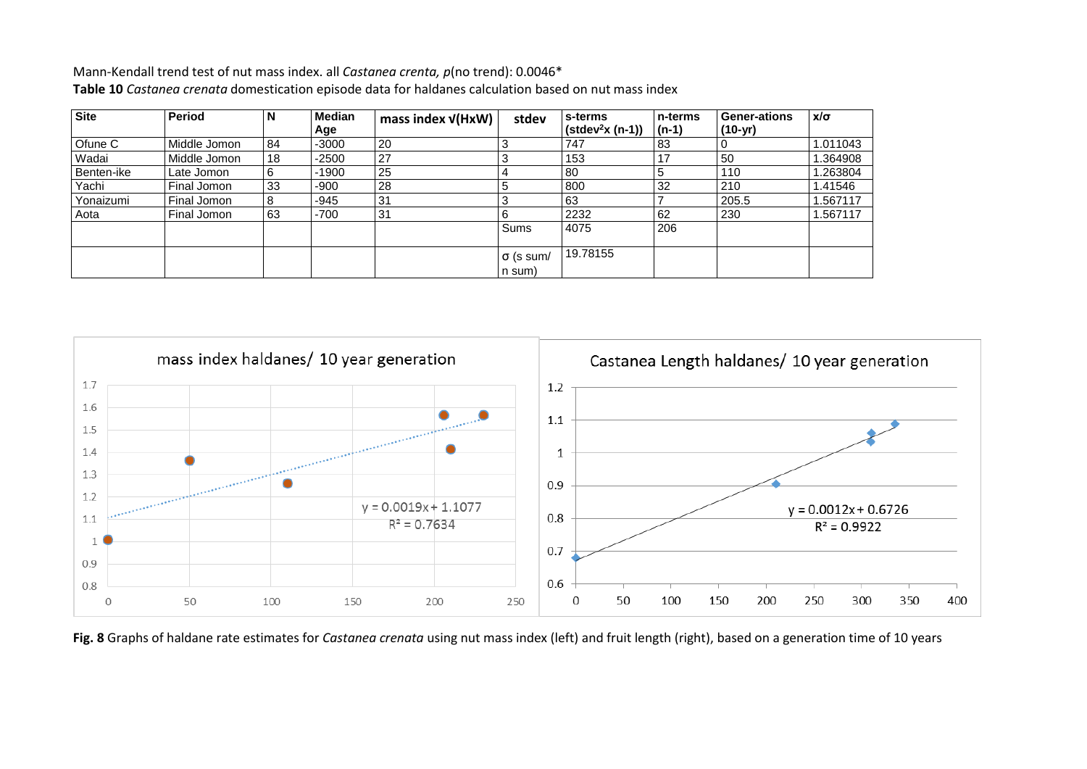Mann-Kendall trend test of nut mass index. all *Castanea crenta, p*(no trend): 0.0046\* **Table 10** *Castanea crenata* domestication episode data for haldanes calculation based on nut mass index

| <b>Site</b>  | <b>Period</b> | N  | Median<br>Age | mass index $V(HxW)$ | stdev            | l s-terms<br>$($ stdev <sup>2</sup> x (n-1)) | l n-terms<br>$(n-1)$ | <b>Gener-ations</b><br>$(10-yr)$ | $x/\sigma$ |
|--------------|---------------|----|---------------|---------------------|------------------|----------------------------------------------|----------------------|----------------------------------|------------|
| Ofune C      | Middle Jomon  | 84 | $-3000$       | 20                  |                  | 747                                          | 83                   |                                  | 1.011043   |
| Wadai        | Middle Jomon  | 18 | $-2500$       | 27                  | ລ                | 153                                          |                      | 50                               | 1.364908   |
| l Benten-ike | Late Jomon    | 6  | $-1900$       | 25                  | 4                | -80                                          |                      | 110                              | 1.263804   |
| Yachi        | Final Jomon   | 33 | $-900$        | 28                  | G                | 800                                          | 32                   | 210                              | 1.41546    |
| Yonaizumi    | Final Jomon   | 8  | -945          | 31                  | ≏                | 63                                           |                      | 205.5                            | .567117    |
| Aota         | Final Jomon   | 63 | $-700$        | 31                  |                  | 2232                                         | 62                   | 230                              | 1.567117   |
|              |               |    |               |                     | Sums             | 4075                                         | 206                  |                                  |            |
|              |               |    |               |                     | $\sigma$ (s sum/ | 19.78155                                     |                      |                                  |            |
|              |               |    |               |                     | n sum)           |                                              |                      |                                  |            |



**Fig. 8** Graphs of haldane rate estimates for *Castanea crenata* using nut mass index (left) and fruit length (right), based on a generation time of 10 years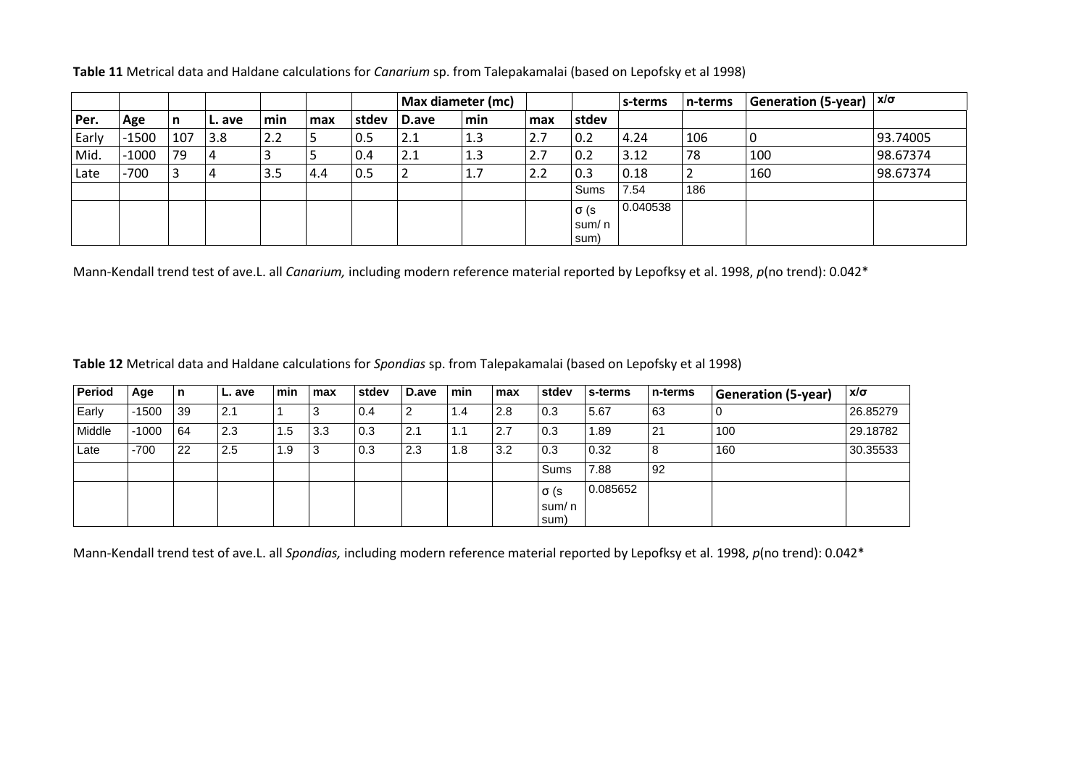|       |         |     |                |     |     |       | Max diameter (mc) |     |     |                   | s-terms  | n-terms | Generation (5-year) $ x/\sigma $ |          |
|-------|---------|-----|----------------|-----|-----|-------|-------------------|-----|-----|-------------------|----------|---------|----------------------------------|----------|
| Per.  | Age     | l n | L. ave         | min | max | stdev | D.ave             | min | max | stdev             |          |         |                                  |          |
| Early | $-1500$ | 107 | 3.8            | 2.2 | Ь   | 0.5   | 2.1               | 1.3 | 2.7 | 0.2               | 4.24     | 106     | l 0                              | 93.74005 |
| Mid.  | $-1000$ | 79  | 4              | پ   |     | 0.4   | 2.1               | 1.3 | 2.7 | 0.2               | 3.12     | 78      | 100                              | 98.67374 |
| Late  | $-700$  |     | $\overline{a}$ | 3.5 | 4.4 | 0.5   |                   | 1.7 | 2.2 | $\vert 0.3 \vert$ | 0.18     |         | 160                              | 98.67374 |
|       |         |     |                |     |     |       |                   |     |     | Sums              | 7.54     | 186     |                                  |          |
|       |         |     |                |     |     |       |                   |     |     | σ (s              | 0.040538 |         |                                  |          |
|       |         |     |                |     |     |       |                   |     |     | sum/ n            |          |         |                                  |          |
|       |         |     |                |     |     |       |                   |     |     | sum)              |          |         |                                  |          |

**Table 11** Metrical data and Haldane calculations for *Canarium* sp. from Talepakamalai (based on Lepofsky et al 1998)

Mann-Kendall trend test of ave.L. all *Canarium,* including modern reference material reported by Lepofksy et al. 1998, *p*(no trend): 0.042\*

**Table 12** Metrical data and Haldane calculations for *Spondias* sp. from Talepakamalai (based on Lepofsky et al 1998)

| Period | Age     | n  | L. ave | min | max | stdev | D.ave | <b>Imin</b> | max | stdev          | s-terms  | l n-terms | <b>Generation (5-year)</b> | $x/\sigma$ |
|--------|---------|----|--------|-----|-----|-------|-------|-------------|-----|----------------|----------|-----------|----------------------------|------------|
| Early  | $-1500$ | 39 | 2.1    |     | -3  | 0.4   | -     | 1.4         | 2.8 | 0.3            | 5.67     | 63        | U                          | 26.85279   |
| Middle | $-1000$ | 64 | 2.3    | 1.5 | 3.3 | 0.3   | 2.1   | 1.1         | 2.7 | 0.3            | 1.89     | 21        | 100                        | 29.18782   |
| Late   | $-700$  | 22 | 2.5    | 1.9 | -3  | 0.3   | 2.3   | 1.8         | 3.2 | 0.3            | 0.32     | 8         | 160                        | 30.35533   |
|        |         |    |        |     |     |       |       |             |     | Sums           | 7.88     | 92        |                            |            |
|        |         |    |        |     |     |       |       |             |     | $\sigma$ (s    | 0.085652 |           |                            |            |
|        |         |    |        |     |     |       |       |             |     | sum/ n<br>sum) |          |           |                            |            |

Mann-Kendall trend test of ave.L. all *Spondias,* including modern reference material reported by Lepofksy et al. 1998, *p*(no trend): 0.042\*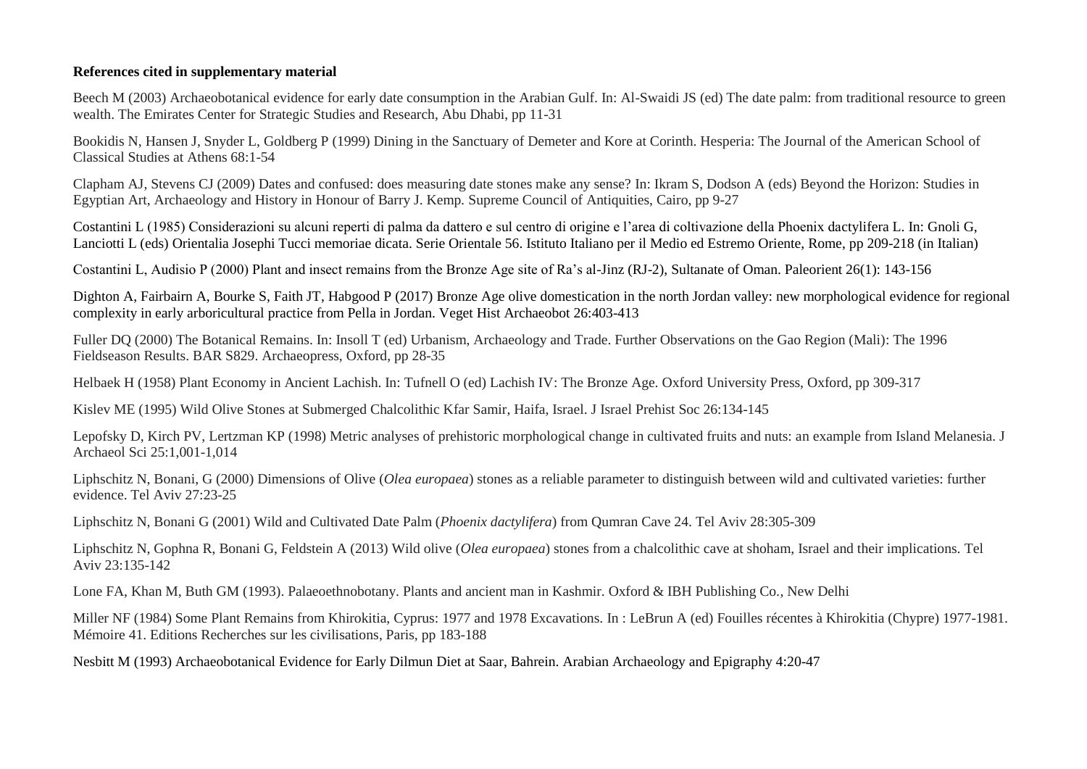## **References cited in supplementary material**

Beech M (2003) Archaeobotanical evidence for early date consumption in the Arabian Gulf. In: Al-Swaidi JS (ed) The date palm: from traditional resource to green wealth. The Emirates Center for Strategic Studies and Research, Abu Dhabi, pp 11-31

Bookidis N, Hansen J, Snyder L, Goldberg P (1999) Dining in the Sanctuary of Demeter and Kore at Corinth. Hesperia: The Journal of the American School of Classical Studies at Athens 68:1-54

Clapham AJ, Stevens CJ (2009) Dates and confused: does measuring date stones make any sense? In: Ikram S, Dodson A (eds) Beyond the Horizon: Studies in Egyptian Art, Archaeology and History in Honour of Barry J. Kemp*.* Supreme Council of Antiquities, Cairo, pp 9-27

Costantini L (1985) Considerazioni su alcuni reperti di palma da dattero e sul centro di origine e l'area di coltivazione della Phoenix dactylifera L. In: Gnoli G, Lanciotti L (eds) Orientalia Josephi Tucci memoriae dicata. Serie Orientale 56. Istituto Italiano per il Medio ed Estremo Oriente, Rome, pp 209-218 (in Italian)

Costantini L, Audisio P (2000) Plant and insect remains from the Bronze Age site of Ra's al-Jinz (RJ-2), Sultanate of Oman. Paleorient 26(1): 143-156

Dighton A, Fairbairn A, Bourke S, Faith JT, Habgood P (2017) Bronze Age olive domestication in the north Jordan valley: new morphological evidence for regional complexity in early arboricultural practice from Pella in Jordan. Veget Hist Archaeobot 26:403-413

Fuller DQ (2000) The Botanical Remains. In: Insoll T (ed) Urbanism, Archaeology and Trade. Further Observations on the Gao Region (Mali): The 1996 Fieldseason Results. BAR S829. Archaeopress, Oxford, pp 28-35

Helbaek H (1958) Plant Economy in Ancient Lachish. In: Tufnell O (ed) Lachish IV: The Bronze Age. Oxford University Press, Oxford, pp 309-317

Kislev ME (1995) Wild Olive Stones at Submerged Chalcolithic Kfar Samir, Haifa, Israel. J Israel Prehist Soc 26:134-145

Lepofsky D, Kirch PV, Lertzman KP (1998) Metric analyses of prehistoric morphological change in cultivated fruits and nuts: an example from Island Melanesia. J Archaeol Sci 25:1,001-1,014

Liphschitz N, Bonani, G (2000) Dimensions of Olive (*Olea europaea*) stones as a reliable parameter to distinguish between wild and cultivated varieties: further evidence. Tel Aviv 27:23-25

Liphschitz N, Bonani G (2001) Wild and Cultivated Date Palm (*Phoenix dactylifera*) from Qumran Cave 24. Tel Aviv 28:305-309

Liphschitz N, Gophna R, Bonani G, Feldstein A (2013) Wild olive (*Olea europaea*) stones from a chalcolithic cave at shoham, Israel and their implications. Tel Aviv 23:135-142

Lone FA, Khan M, Buth GM (1993). Palaeoethnobotany. Plants and ancient man in Kashmir. Oxford & IBH Publishing Co., New Delhi

Miller NF (1984) Some Plant Remains from Khirokitia, Cyprus: 1977 and 1978 Excavations. In : LeBrun A (ed) Fouilles récentes à Khirokitia (Chypre) 1977-1981. Mémoire 41. Editions Recherches sur les civilisations, Paris, pp 183-188

Nesbitt M (1993) Archaeobotanical Evidence for Early Dilmun Diet at Saar, Bahrein. Arabian Archaeology and Epigraphy 4:20-47